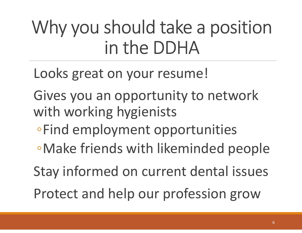## Why you should take a position in the DDHA

Looks great on your resume!

Gives you an opportunity to network with working hygienists Looks great on your resume!<br>
aives you an opportunity to network<br>
with working hygienists<br>
∘Find employment opportunities<br>∙Make friends with likeminded people<br>
Stay informed on current dental issues With working hygienists<br>
• Find employment opportunities<br>
• Make friends with likeminded people<br>
Stay informed on current dental issues<br>
Protect and help our profession grow

- ◦Find employment opportunities
- 

Stay informed on current dental issues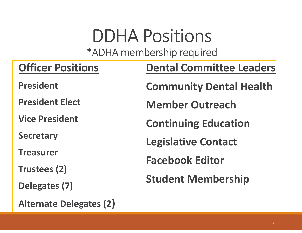### DDHA Positions \*ADHA membership required

| <b>Officer Positions</b>       | <b>Dental Committee Leaders</b> |  |
|--------------------------------|---------------------------------|--|
| <b>President</b>               | <b>Community Dental Health</b>  |  |
| <b>President Elect</b>         | <b>Member Outreach</b>          |  |
| <b>Vice President</b>          | <b>Continuing Education</b>     |  |
| <b>Secretary</b>               | <b>Legislative Contact</b>      |  |
| <b>Treasurer</b>               | <b>Facebook Editor</b>          |  |
| <b>Trustees (2)</b>            | <b>Student Membership</b>       |  |
| Delegates (7)                  |                                 |  |
| <b>Alternate Delegates (2)</b> |                                 |  |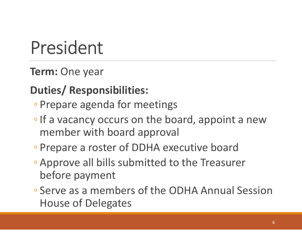## President

Term: One year

- Prepare agenda for meetings
- ◦If a vacancy occurs on the board, appoint a new member with board approval
- Prepare a roster of DDHA executive board
- Approve all bills submitted to the Treasurer before payment
- Serve as a members of the ODHA Annual Session House of Delegates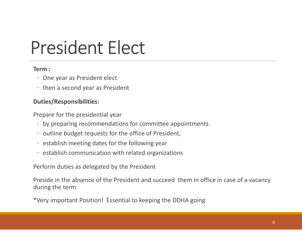## President Elect

#### Term :

- One year as President elect
- then a second year as President

#### Duties/Responsibilities:

Prepare for the presidential year

- by preparing recommendations for committee appointments
- outline budget requests for the office of President,
- establish meeting dates for the following year
- establish communication with related organizations

Perform duties as delegated by the President

© then a second year as President<br>
Duties/Responsibilities:<br>
Prepare for the presidential year<br>
© by preparing recommendations for committee appointments<br>
© outline budget requests for the office of President,<br>
© establis during the term Frepare for the presidential year<br>
• by preparing recommendations for committee appointments<br>
• outline budget requests for the office of President,<br>
• establish meeting dates for the following year<br>
• establish communicat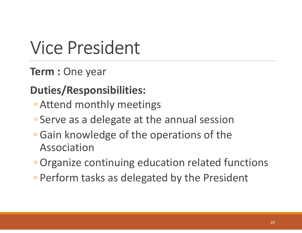## Vice President

Term : One year

- Attend monthly meetings
- Serve as a delegate at the annual session
- Gain knowledge of the operations of the Association
- ◦Organize continuing education related functions
- Perform tasks as delegated by the President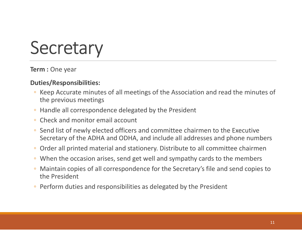## **Secretary**

**Term: One year** 

- Keep Accurate minutes of all meetings of the Association and read the minutes of the previous meetings
- Handle all correspondence delegated by the President
- Check and monitor email account
- Send list of newly elected officers and committee chairmen to the Executive Secretary of the ADHA and ODHA, and include all addresses and phone numbers
- Order all printed material and stationery. Distribute to all committee chairmen
- When the occasion arises, send get well and sympathy cards to the members
- Maintain copies of all correspondence for the Secretary's file and send copies to the President
- Perform duties and responsibilities as delegated by the President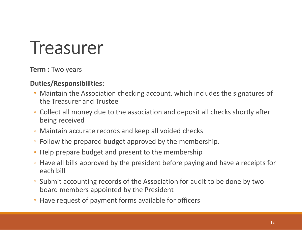## Treasurer

**Term : Two years** 

- Maintain the Association checking account, which includes the signatures of the Treasurer and Trustee
- Collect all money due to the association and deposit all checks shortly after being received
- Maintain accurate records and keep all voided checks
- Follow the prepared budget approved by the membership.
- Help prepare budget and present to the membership
- Have all bills approved by the president before paying and have a receipts for each bill
- Submit accounting records of the Association for audit to be done by two board members appointed by the President
- Have request of payment forms available for officers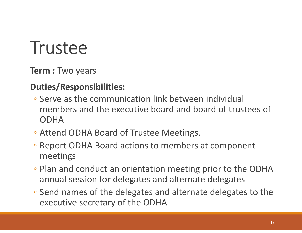## **Trustee**

**Term : Two years** 

- Serve as the communication link between individual members and the executive board and board of trustees of ODHA
- Attend ODHA Board of Trustee Meetings.
- Report ODHA Board actions to members at component meetings
- Plan and conduct an orientation meeting prior to the ODHA annual session for delegates and alternate delegates
- Send names of the delegates and alternate delegates to the executive secretary of the ODHA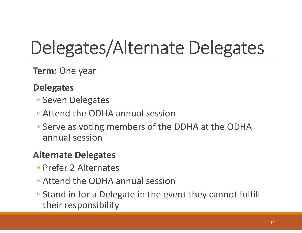# Delegates/Alternate Delegates **Delegates/Alternate Delegates**<br> **Constraints:** One year<br> **Pelegates**<br>
• Seven Delegates<br>
• Serve as voting members of the DDHA at the ODHA<br>
• Serve as voting members of the DDHA at the ODHA<br>
annual session<br>
Niternate Dele

**Term: One year** 

#### **Delegates**

- Seven Delegates
- Attend the ODHA annual session
- annual session **Term:** One year<br> **Delegates**<br>
• Seven Delegates<br>
• Attend the ODHA annual session<br>
• Serve as voting members of the DDHA<br>
annual session<br> **Alternate Delegates**<br>
• Prefer 2 Alternates<br>
• Attend the ODHA annual session

- Prefer 2 Alternates
- Attend the ODHA annual session
- <p>• Seven Decgates</p>\n<p>• After Deegates</p>\n<p>• Serve as voting members of the DDHA at the ODHA annual session</p>\n<p>• Nternate Delegates</p>\n<p>• Prefer 2 Alternates</p>\n<p>• Attend the ODHA annual session</p>\n<p>• Stand in for a Delegate in the event they cannot fulfill their responsibility</p> their responsibility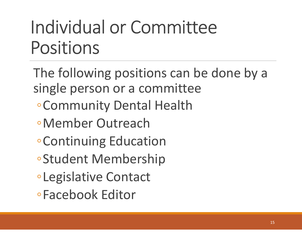## Individual or Committee Positions

The following positions can be done by a single person or a committee

- ◦Community Dental Health
- ◦Member Outreach
- ◦Continuing Education
- ◦Student Membership
- ◦Legislative Contact
- ◦Facebook Editor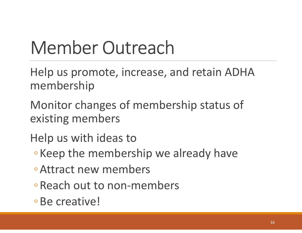## Member Outreach

Help us promote, increase, and retain ADHA membership

Monitor changes of membership status of existing members

Help us with ideas to

- ◦Keep the membership we already have
- ◦Attract new members
- ◦Reach out to non-members
- ◦Be creative!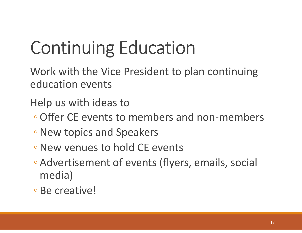## Continuing Education

Work with the Vice President to plan continuing education events

Help us with ideas to

- ◦Offer CE events to members and non-members
- ◦New topics and Speakers
- ◦New venues to hold CE events
- Advertisement of events (flyers, emails, social media)
- Be creative!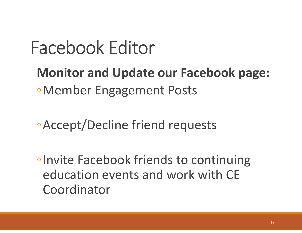## Facebook Editor

# Monitor and Update our Facebook page: ∵<br>
acebook Editor<br>
Monitor and Update our Facebook |<br>
⊙Member Engagement Posts

◦Accept/Decline friend requests

◦Invite Facebook friends to continuing education events and work with CE Coordinator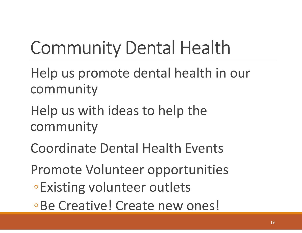## Community Dental Health

- Help us promote dental health in our community
- Help us with ideas to help the community
- Coordinate Dental Health Events
- Promote Volunteer opportunities
- ◦Existing volunteer outlets
- ◦Be Creative! Create new ones!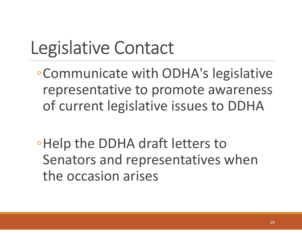## Legislative Contact

◦Communicate with ODHA's legislative representative to promote awareness of current legislative issues to DDHA

◦Help the DDHA draft letters to Senators and representatives when the occasion arises